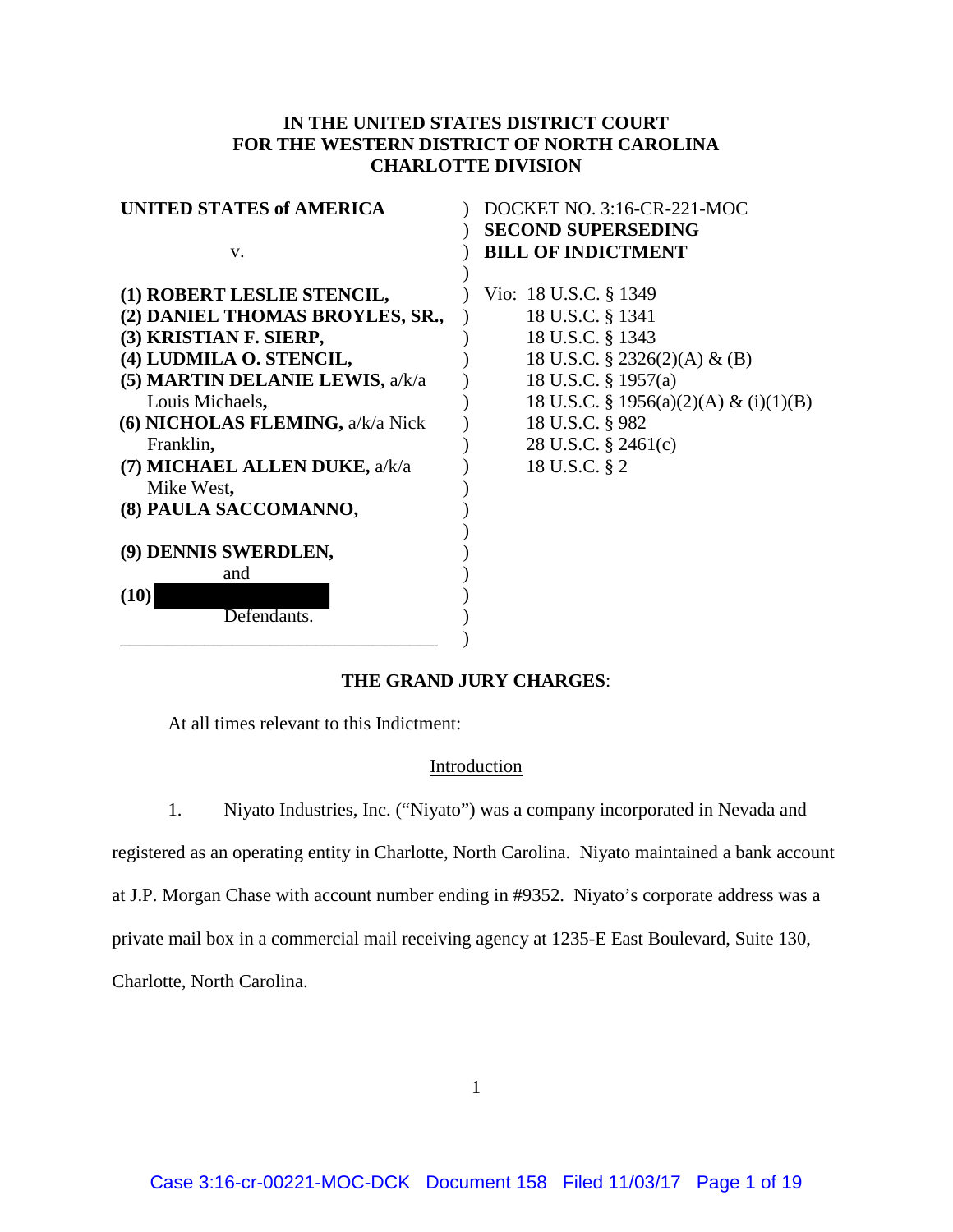## **IN THE UNITED STATES DISTRICT COURT FOR THE WESTERN DISTRICT OF NORTH CAROLINA CHARLOTTE DIVISION**

| UNITED STATES of AMERICA         | DOCKET NO. 3:16-CR-221-MOC            |
|----------------------------------|---------------------------------------|
|                                  | <b>SECOND SUPERSEDING</b>             |
| V.                               | <b>BILL OF INDICTMENT</b>             |
|                                  |                                       |
| (1) ROBERT LESLIE STENCIL,       | Vio: 18 U.S.C. § 1349                 |
| (2) DANIEL THOMAS BROYLES, SR.,  | 18 U.S.C. § 1341                      |
| (3) KRISTIAN F. SIERP,           | 18 U.S.C. § 1343                      |
| (4) LUDMILA O. STENCIL,          | 18 U.S.C. $\S$ 2326(2)(A) & (B)       |
| (5) MARTIN DELANIE LEWIS, a/k/a  | 18 U.S.C. § 1957(a)                   |
| Louis Michaels,                  | 18 U.S.C. § 1956(a)(2)(A) & (i)(1)(B) |
| (6) NICHOLAS FLEMING, a/k/a Nick | 18 U.S.C. § 982                       |
| Franklin,                        | 28 U.S.C. § 2461(c)                   |
| (7) MICHAEL ALLEN DUKE, a/k/a    | 18 U.S.C. § 2                         |
| Mike West,                       |                                       |
| (8) PAULA SACCOMANNO,            |                                       |
| (9) DENNIS SWERDLEN,             |                                       |
| and                              |                                       |
| (10)                             |                                       |
| Defendants.                      |                                       |
|                                  |                                       |

## **THE GRAND JURY CHARGES**:

At all times relevant to this Indictment:

#### Introduction

1. Niyato Industries, Inc. ("Niyato") was a company incorporated in Nevada and

registered as an operating entity in Charlotte, North Carolina. Niyato maintained a bank account

at J.P. Morgan Chase with account number ending in #9352. Niyato's corporate address was a

private mail box in a commercial mail receiving agency at 1235-E East Boulevard, Suite 130,

Charlotte, North Carolina.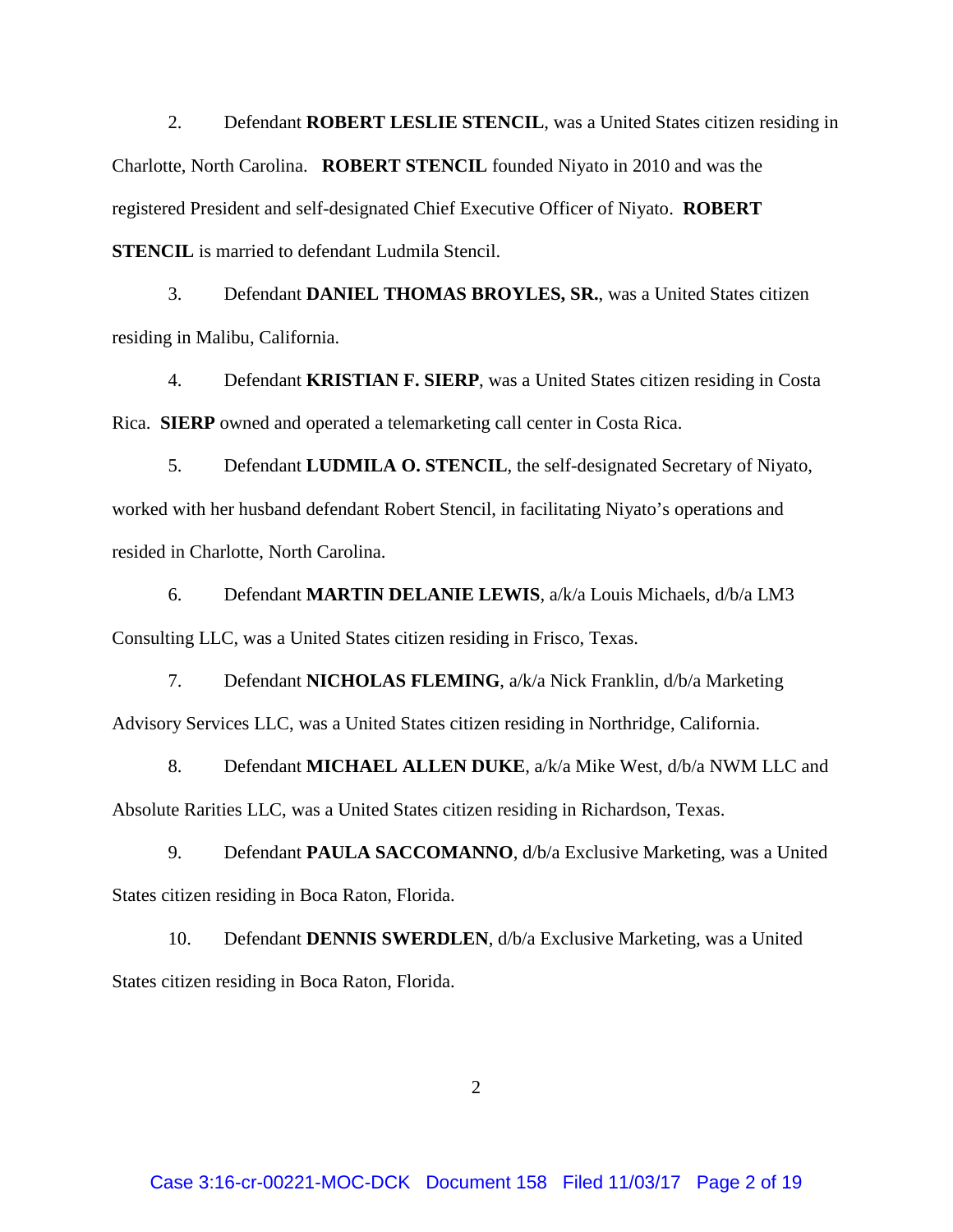2. Defendant **ROBERT LESLIE STENCIL**, was a United States citizen residing in Charlotte, North Carolina. **ROBERT STENCIL** founded Niyato in 2010 and was the registered President and self-designated Chief Executive Officer of Niyato. **ROBERT STENCIL** is married to defendant Ludmila Stencil.

3. Defendant **DANIEL THOMAS BROYLES, SR.**, was a United States citizen residing in Malibu, California.

4. Defendant **KRISTIAN F. SIERP**, was a United States citizen residing in Costa Rica. **SIERP** owned and operated a telemarketing call center in Costa Rica.

5. Defendant **LUDMILA O. STENCIL**, the self-designated Secretary of Niyato, worked with her husband defendant Robert Stencil, in facilitating Niyato's operations and resided in Charlotte, North Carolina.

6. Defendant **MARTIN DELANIE LEWIS**, a/k/a Louis Michaels, d/b/a LM3 Consulting LLC, was a United States citizen residing in Frisco, Texas.

7. Defendant **NICHOLAS FLEMING**, a/k/a Nick Franklin, d/b/a Marketing Advisory Services LLC, was a United States citizen residing in Northridge, California.

8. Defendant **MICHAEL ALLEN DUKE**, a/k/a Mike West, d/b/a NWM LLC and Absolute Rarities LLC, was a United States citizen residing in Richardson, Texas.

9. Defendant **PAULA SACCOMANNO**, d/b/a Exclusive Marketing, was a United States citizen residing in Boca Raton, Florida.

10. Defendant **DENNIS SWERDLEN**, d/b/a Exclusive Marketing, was a United States citizen residing in Boca Raton, Florida.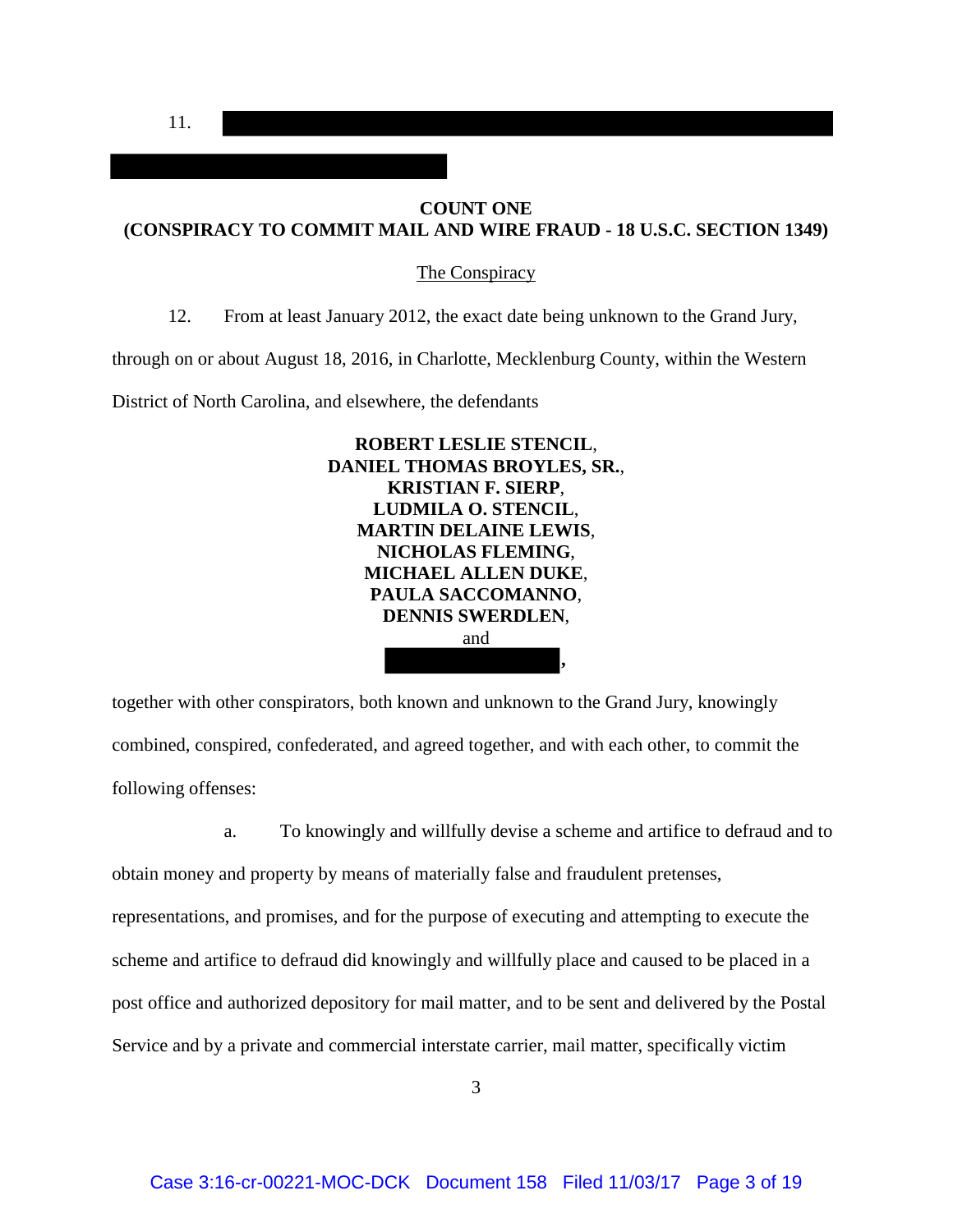11.

# **COUNT ONE (CONSPIRACY TO COMMIT MAIL AND WIRE FRAUD - 18 U.S.C. SECTION 1349)**

#### The Conspiracy

12. From at least January 2012, the exact date being unknown to the Grand Jury,

through on or about August 18, 2016, in Charlotte, Mecklenburg County, within the Western

District of North Carolina, and elsewhere, the defendants



together with other conspirators, both known and unknown to the Grand Jury, knowingly combined, conspired, confederated, and agreed together, and with each other, to commit the following offenses:

 a. To knowingly and willfully devise a scheme and artifice to defraud and to obtain money and property by means of materially false and fraudulent pretenses, representations, and promises, and for the purpose of executing and attempting to execute the scheme and artifice to defraud did knowingly and willfully place and caused to be placed in a post office and authorized depository for mail matter, and to be sent and delivered by the Postal Service and by a private and commercial interstate carrier, mail matter, specifically victim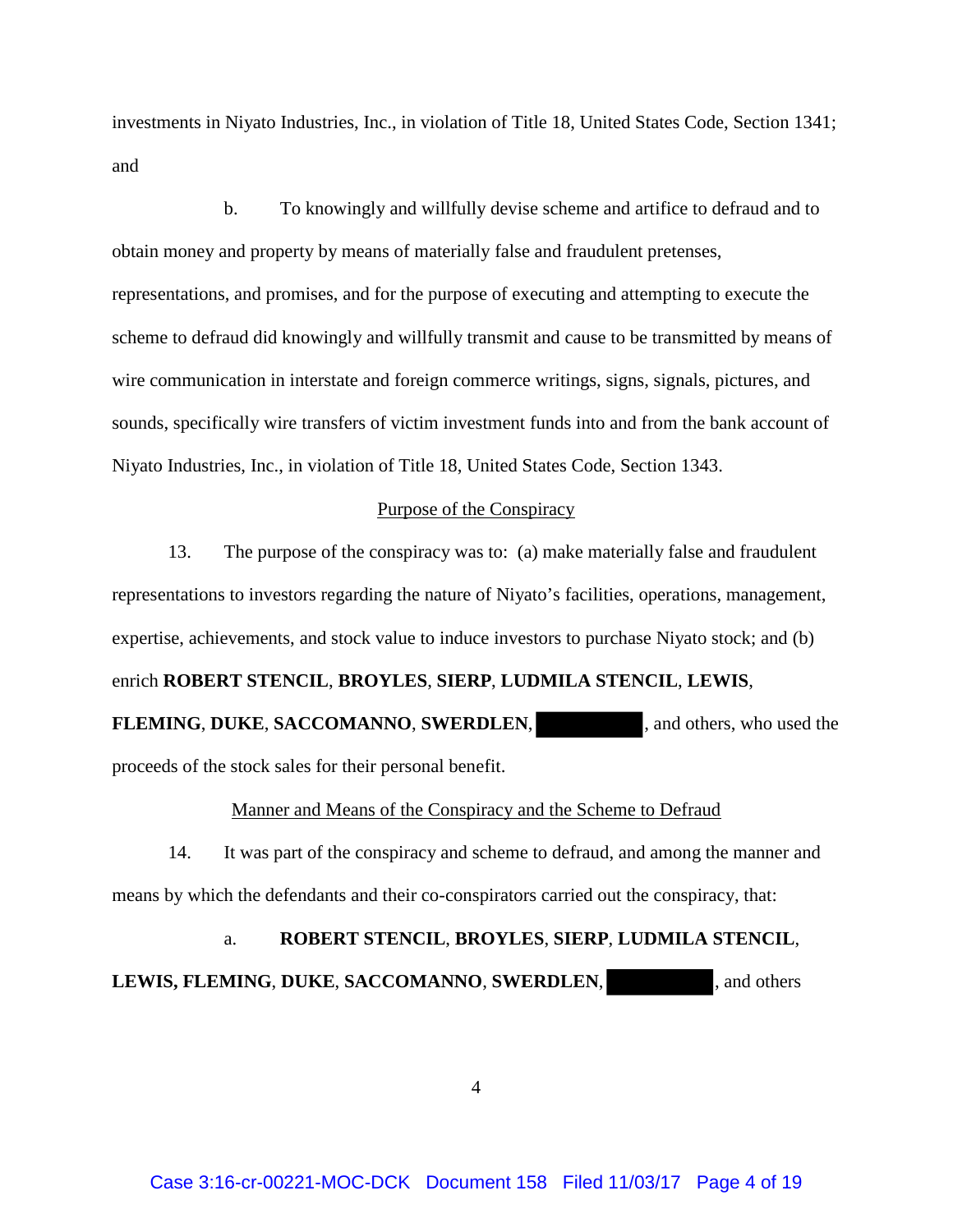investments in Niyato Industries, Inc., in violation of Title 18, United States Code, Section 1341; and

 b. To knowingly and willfully devise scheme and artifice to defraud and to obtain money and property by means of materially false and fraudulent pretenses, representations, and promises, and for the purpose of executing and attempting to execute the scheme to defraud did knowingly and willfully transmit and cause to be transmitted by means of wire communication in interstate and foreign commerce writings, signs, signals, pictures, and sounds, specifically wire transfers of victim investment funds into and from the bank account of Niyato Industries, Inc., in violation of Title 18, United States Code, Section 1343.

#### Purpose of the Conspiracy

13. The purpose of the conspiracy was to: (a) make materially false and fraudulent representations to investors regarding the nature of Niyato's facilities, operations, management, expertise, achievements, and stock value to induce investors to purchase Niyato stock; and (b) enrich **ROBERT STENCIL**, **BROYLES**, **SIERP**, **LUDMILA STENCIL**, **LEWIS**, **FLEMING**, DUKE, SACCOMANNO, SWERDLEN, and others, who used the

proceeds of the stock sales for their personal benefit.

#### Manner and Means of the Conspiracy and the Scheme to Defraud

14. It was part of the conspiracy and scheme to defraud, and among the manner and means by which the defendants and their co-conspirators carried out the conspiracy, that:

a. **ROBERT STENCIL**, **BROYLES**, **SIERP**, **LUDMILA STENCIL**, **LEWIS, FLEMING**, **DUKE**, **SACCOMANNO**, **SWERDLEN**, , and others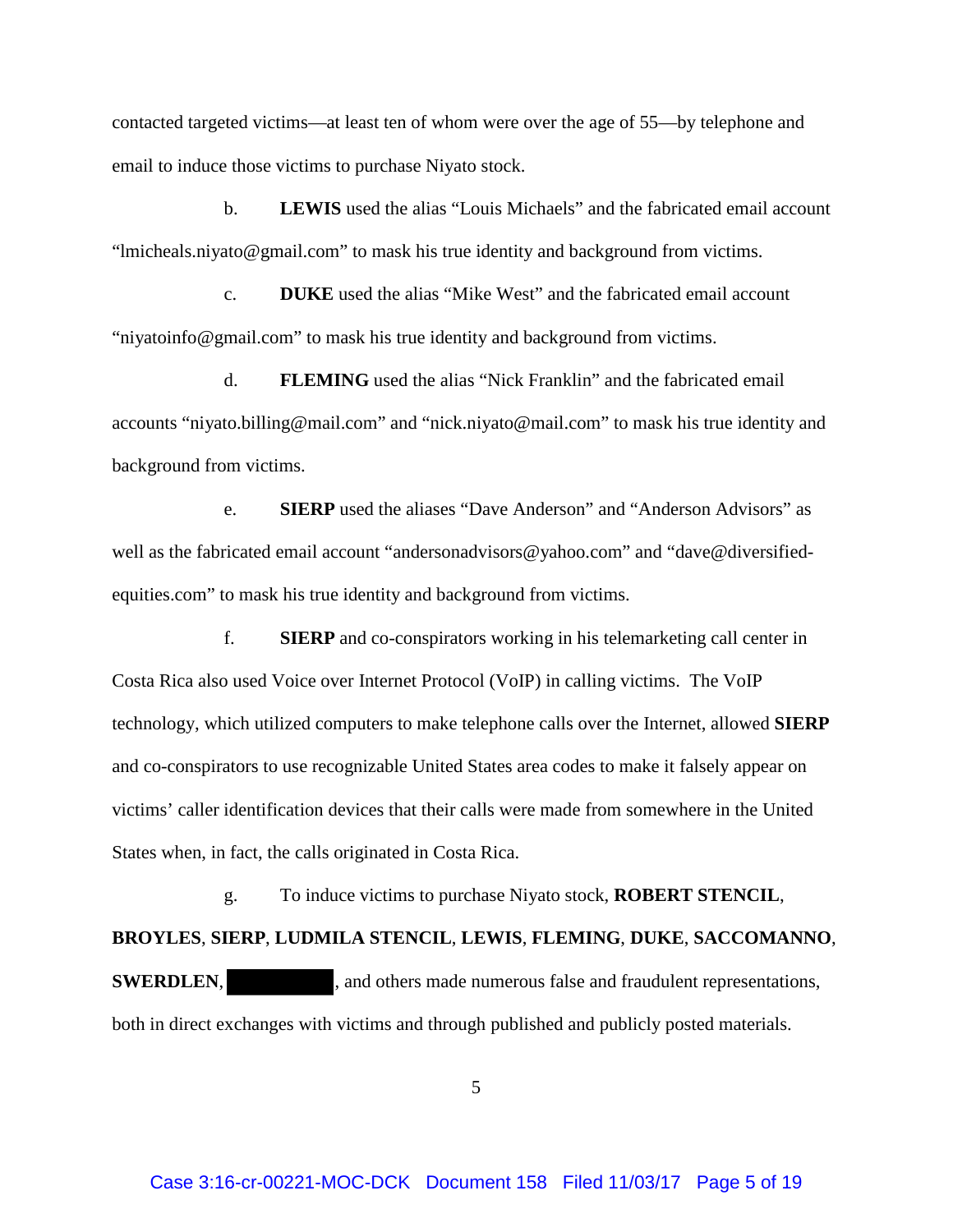contacted targeted victims—at least ten of whom were over the age of 55—by telephone and email to induce those victims to purchase Niyato stock.

b. **LEWIS** used the alias "Louis Michaels" and the fabricated email account "lmicheals.niyato@gmail.com" to mask his true identity and background from victims.

c. **DUKE** used the alias "Mike West" and the fabricated email account "niyatoinfo@gmail.com" to mask his true identity and background from victims.

d. **FLEMING** used the alias "Nick Franklin" and the fabricated email accounts "niyato.billing@mail.com" and "nick.niyato@mail.com" to mask his true identity and background from victims.

e. **SIERP** used the aliases "Dave Anderson" and "Anderson Advisors" as well as the fabricated email account "andersonadvisors@yahoo.com" and ["dave@diversified](mailto:dave@diversified-equities.com)[equities.com"](mailto:dave@diversified-equities.com) to mask his true identity and background from victims.

f. **SIERP** and co-conspirators working in his telemarketing call center in Costa Rica also used Voice over Internet Protocol (VoIP) in calling victims. The VoIP technology, which utilized computers to make telephone calls over the Internet, allowed **SIERP**  and co-conspirators to use recognizable United States area codes to make it falsely appear on victims' caller identification devices that their calls were made from somewhere in the United States when, in fact, the calls originated in Costa Rica.

g. To induce victims to purchase Niyato stock, **ROBERT STENCIL**,

**BROYLES**, **SIERP**, **LUDMILA STENCIL**, **LEWIS**, **FLEMING**, **DUKE**, **SACCOMANNO**,

**SWERDLEN,** , and others made numerous false and fraudulent representations, both in direct exchanges with victims and through published and publicly posted materials.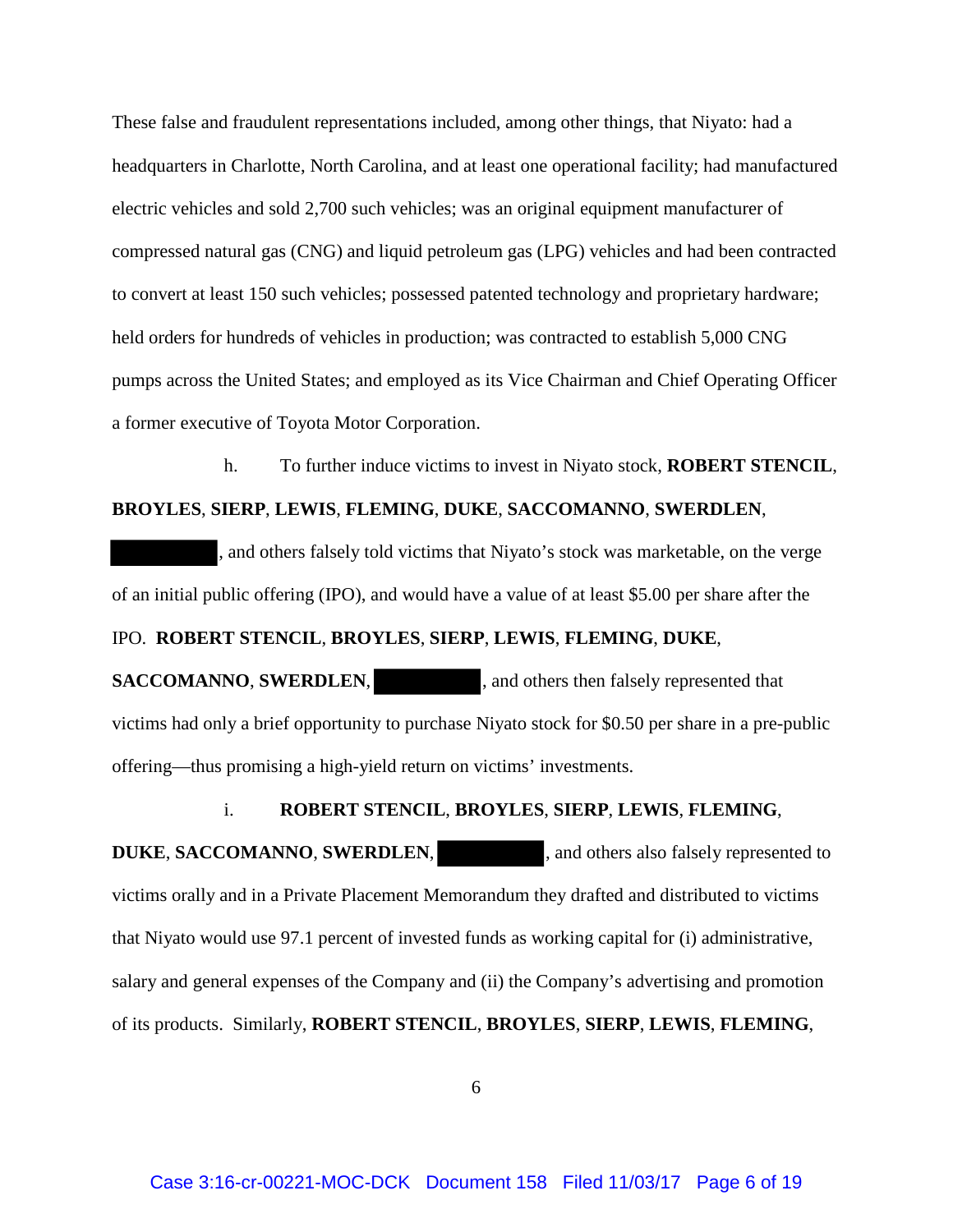These false and fraudulent representations included, among other things, that Niyato: had a headquarters in Charlotte, North Carolina, and at least one operational facility; had manufactured electric vehicles and sold 2,700 such vehicles; was an original equipment manufacturer of compressed natural gas (CNG) and liquid petroleum gas (LPG) vehicles and had been contracted to convert at least 150 such vehicles; possessed patented technology and proprietary hardware; held orders for hundreds of vehicles in production; was contracted to establish 5,000 CNG pumps across the United States; and employed as its Vice Chairman and Chief Operating Officer a former executive of Toyota Motor Corporation.

h. To further induce victims to invest in Niyato stock, **ROBERT STENCIL**,

#### **BROYLES**, **SIERP**, **LEWIS**, **FLEMING**, **DUKE**, **SACCOMANNO**, **SWERDLEN**,

, and others falsely told victims that Niyato's stock was marketable, on the verge of an initial public offering (IPO), and would have a value of at least \$5.00 per share after the

# IPO. **ROBERT STENCIL**, **BROYLES**, **SIERP**, **LEWIS**, **FLEMING**, **DUKE**,

**SACCOMANNO**, **SWERDLEN**, and others then falsely represented that victims had only a brief opportunity to purchase Niyato stock for \$0.50 per share in a pre-public offering—thus promising a high-yield return on victims' investments.

#### i. **ROBERT STENCIL**, **BROYLES**, **SIERP**, **LEWIS**, **FLEMING**,

**DUKE, SACCOMANNO, SWERDLEN,** , and others also falsely represented to victims orally and in a Private Placement Memorandum they drafted and distributed to victims that Niyato would use 97.1 percent of invested funds as working capital for (i) administrative, salary and general expenses of the Company and (ii) the Company's advertising and promotion of its products. Similarly, **ROBERT STENCIL**, **BROYLES**, **SIERP**, **LEWIS**, **FLEMING**,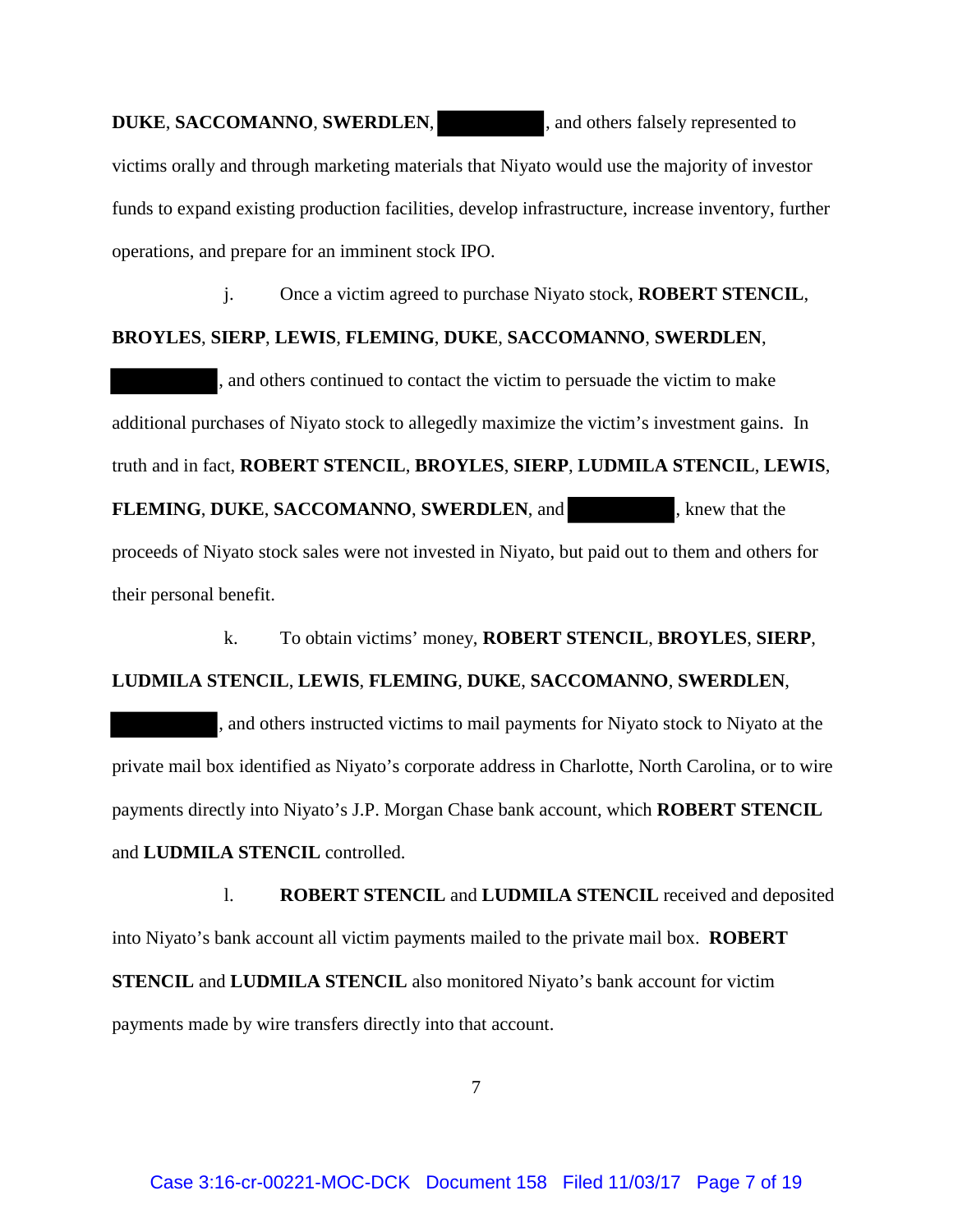# **DUKE, SACCOMANNO, SWERDLEN,** , and others falsely represented to victims orally and through marketing materials that Niyato would use the majority of investor funds to expand existing production facilities, develop infrastructure, increase inventory, further operations, and prepare for an imminent stock IPO.

j. Once a victim agreed to purchase Niyato stock, **ROBERT STENCIL**, **BROYLES**, **SIERP**, **LEWIS**, **FLEMING**, **DUKE**, **SACCOMANNO**, **SWERDLEN**, , and others continued to contact the victim to persuade the victim to make additional purchases of Niyato stock to allegedly maximize the victim's investment gains. In truth and in fact, **ROBERT STENCIL**, **BROYLES**, **SIERP**, **LUDMILA STENCIL**, **LEWIS**, **FLEMING**, **DUKE**, **SACCOMANNO**, **SWERDLEN**, and , knew that the proceeds of Niyato stock sales were not invested in Niyato, but paid out to them and others for their personal benefit.

k. To obtain victims' money, **ROBERT STENCIL**, **BROYLES**, **SIERP**, **LUDMILA STENCIL**, **LEWIS**, **FLEMING**, **DUKE**, **SACCOMANNO**, **SWERDLEN**,

, and others instructed victims to mail payments for Niyato stock to Niyato at the private mail box identified as Niyato's corporate address in Charlotte, North Carolina, or to wire payments directly into Niyato's J.P. Morgan Chase bank account, which **ROBERT STENCIL** and **LUDMILA STENCIL** controlled.

l. **ROBERT STENCIL** and **LUDMILA STENCIL** received and deposited into Niyato's bank account all victim payments mailed to the private mail box. **ROBERT STENCIL** and **LUDMILA STENCIL** also monitored Niyato's bank account for victim payments made by wire transfers directly into that account.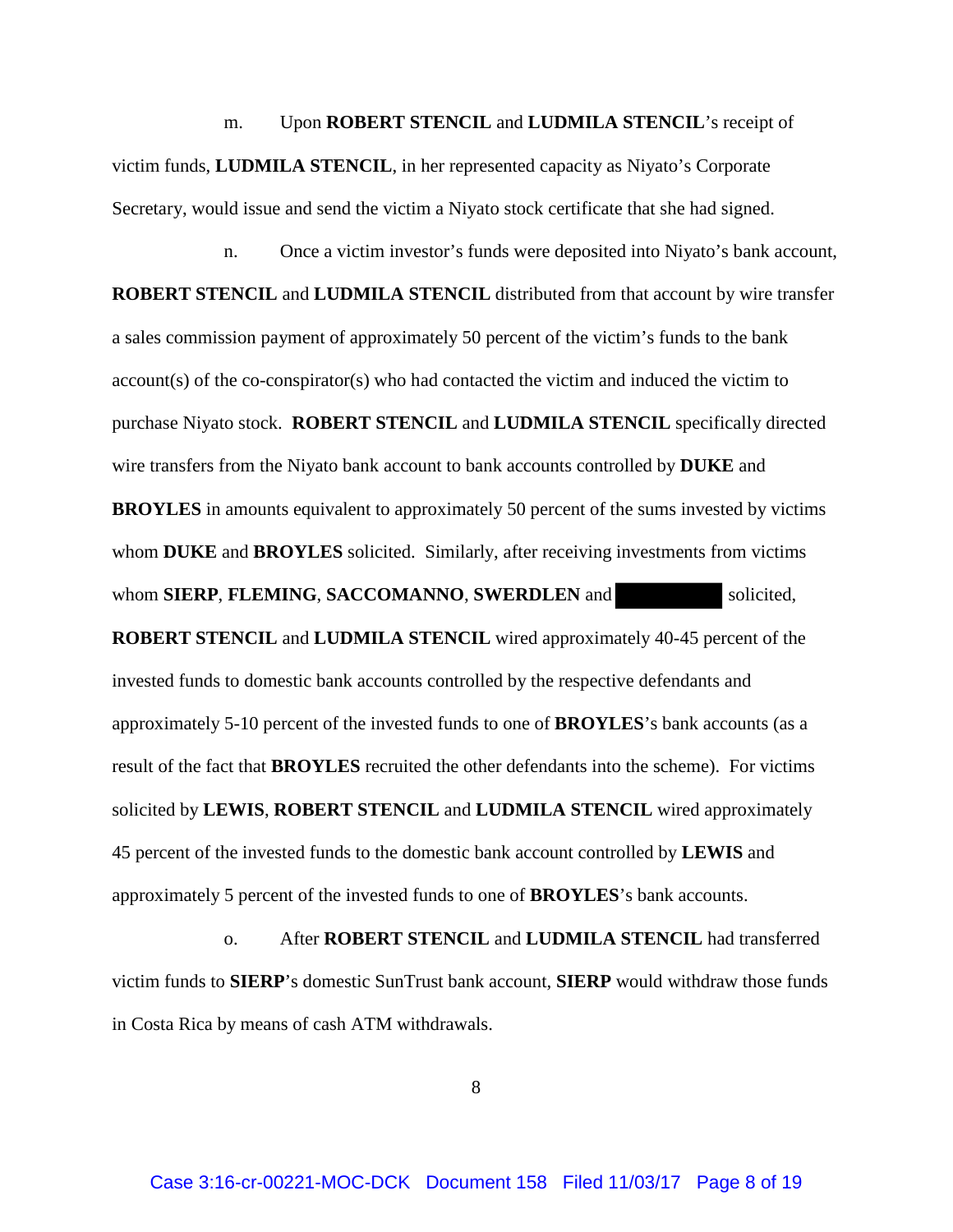m. Upon **ROBERT STENCIL** and **LUDMILA STENCIL**'s receipt of victim funds, **LUDMILA STENCIL**, in her represented capacity as Niyato's Corporate Secretary, would issue and send the victim a Niyato stock certificate that she had signed.

n. Once a victim investor's funds were deposited into Niyato's bank account, **ROBERT STENCIL** and **LUDMILA STENCIL** distributed from that account by wire transfer a sales commission payment of approximately 50 percent of the victim's funds to the bank account(s) of the co-conspirator(s) who had contacted the victim and induced the victim to purchase Niyato stock. **ROBERT STENCIL** and **LUDMILA STENCIL** specifically directed wire transfers from the Niyato bank account to bank accounts controlled by **DUKE** and **BROYLES** in amounts equivalent to approximately 50 percent of the sums invested by victims whom **DUKE** and **BROYLES** solicited. Similarly, after receiving investments from victims whom **SIERP**, **FLEMING**, **SACCOMANNO**, **SWERDLEN** and solicited, **ROBERT STENCIL** and **LUDMILA STENCIL** wired approximately 40-45 percent of the invested funds to domestic bank accounts controlled by the respective defendants and approximately 5-10 percent of the invested funds to one of **BROYLES**'s bank accounts (as a result of the fact that **BROYLES** recruited the other defendants into the scheme). For victims solicited by **LEWIS**, **ROBERT STENCIL** and **LUDMILA STENCIL** wired approximately 45 percent of the invested funds to the domestic bank account controlled by **LEWIS** and approximately 5 percent of the invested funds to one of **BROYLES**'s bank accounts.

o. After **ROBERT STENCIL** and **LUDMILA STENCIL** had transferred victim funds to **SIERP**'s domestic SunTrust bank account, **SIERP** would withdraw those funds in Costa Rica by means of cash ATM withdrawals.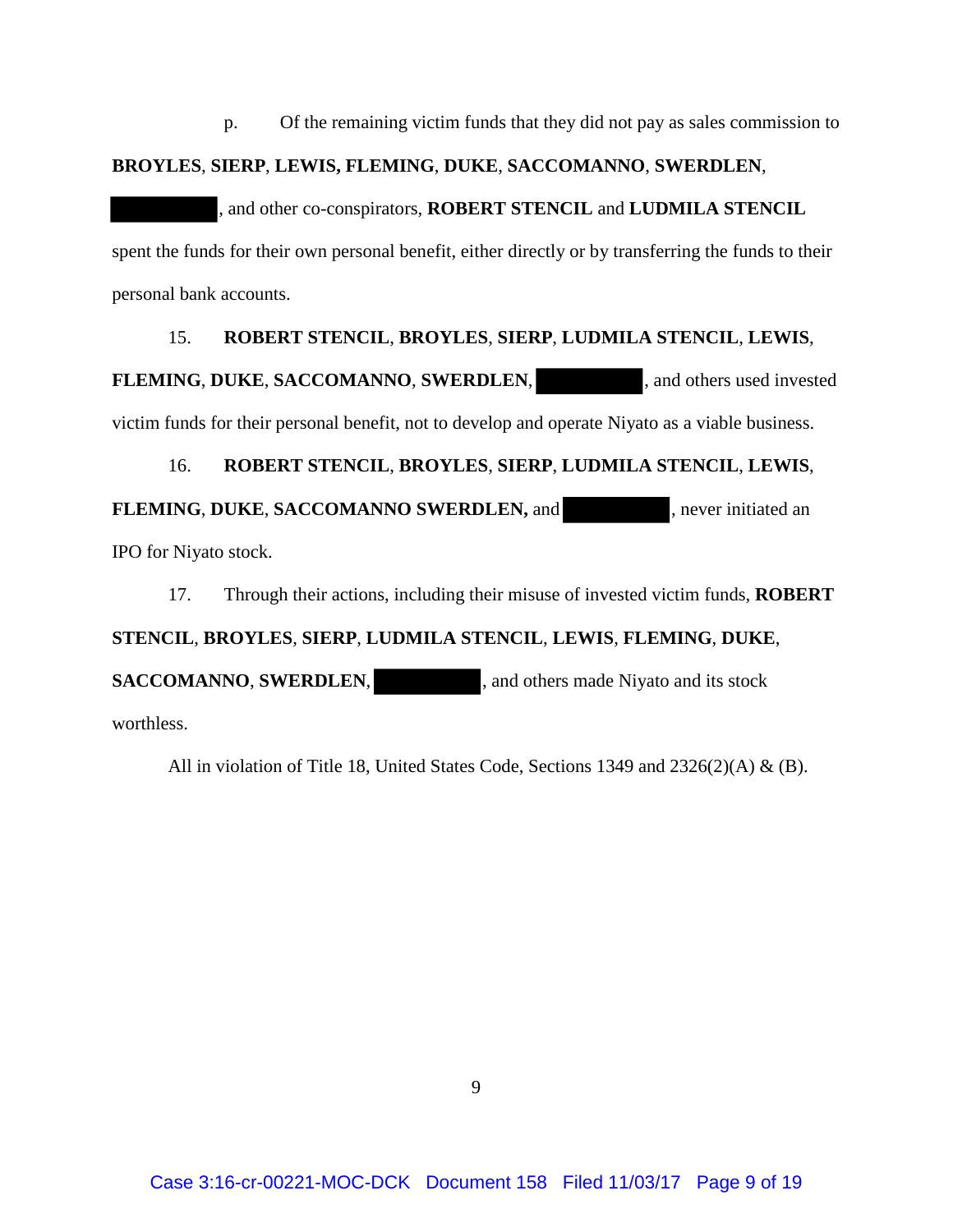p. Of the remaining victim funds that they did not pay as sales commission to

## **BROYLES**, **SIERP**, **LEWIS, FLEMING**, **DUKE**, **SACCOMANNO**, **SWERDLEN**,

, and other co-conspirators, **ROBERT STENCIL** and **LUDMILA STENCIL** spent the funds for their own personal benefit, either directly or by transferring the funds to their personal bank accounts.

# 15. **ROBERT STENCIL**, **BROYLES**, **SIERP**, **LUDMILA STENCIL**, **LEWIS**,

**FLEMING**, **DUKE**, **SACCOMANNO**, **SWERDLEN**, , and others used invested

victim funds for their personal benefit, not to develop and operate Niyato as a viable business.

# 16. **ROBERT STENCIL**, **BROYLES**, **SIERP**, **LUDMILA STENCIL**, **LEWIS**,

**FLEMING**, **DUKE**, **SACCOMANNO SWERDLEN,** and , never initiated an

IPO for Niyato stock.

17. Through their actions, including their misuse of invested victim funds, **ROBERT** 

# **STENCIL**, **BROYLES**, **SIERP**, **LUDMILA STENCIL**, **LEWIS**, **FLEMING**, **DUKE**,

**SACCOMANNO**, **SWERDLEN**, and others made Niyato and its stock

worthless.

All in violation of Title 18, United States Code, Sections 1349 and 2326(2)(A) & (B).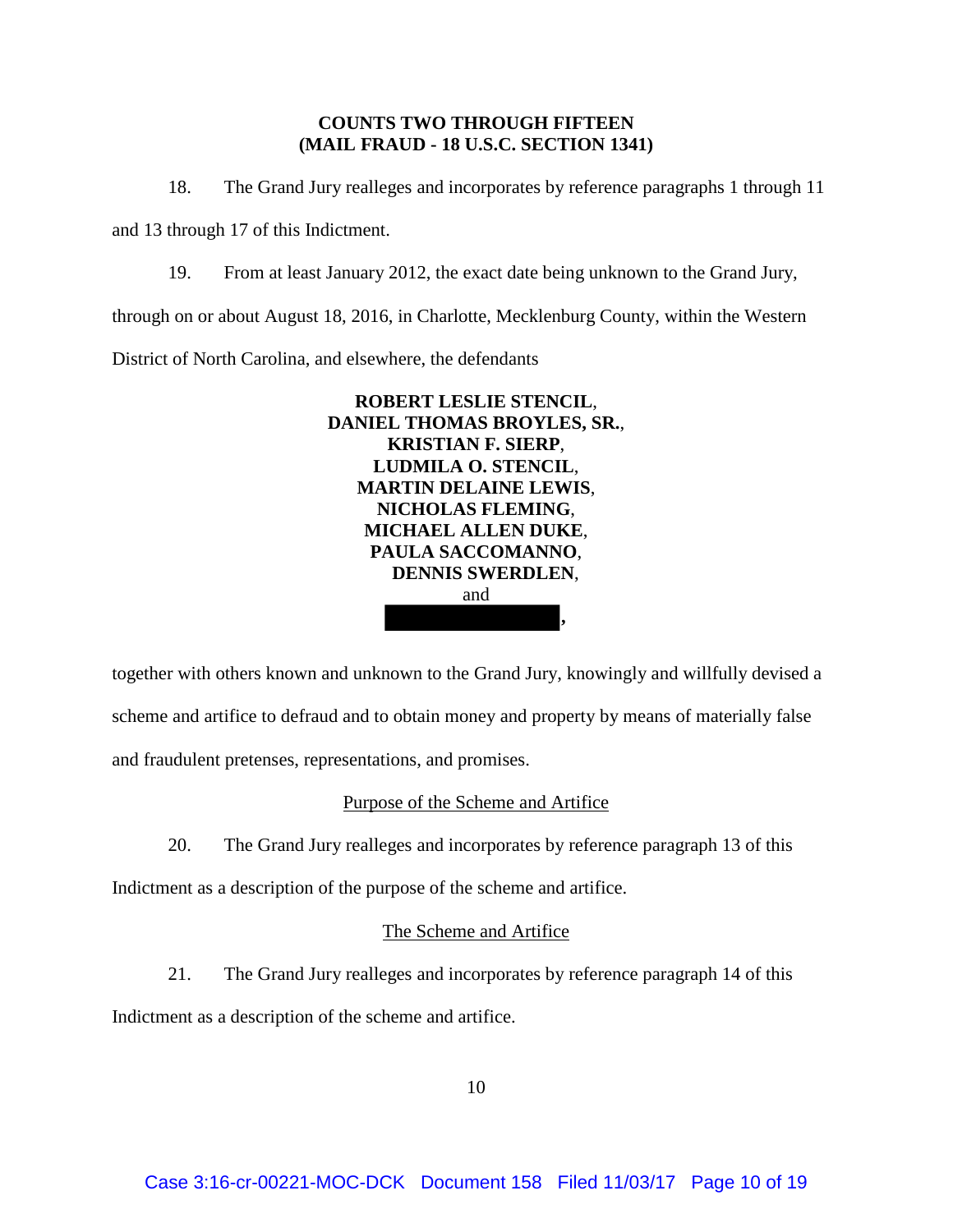## **COUNTS TWO THROUGH FIFTEEN (MAIL FRAUD - 18 U.S.C. SECTION 1341)**

18. The Grand Jury realleges and incorporates by reference paragraphs 1 through 11

and 13 through 17 of this Indictment.

19. From at least January 2012, the exact date being unknown to the Grand Jury,

through on or about August 18, 2016, in Charlotte, Mecklenburg County, within the Western

District of North Carolina, and elsewhere, the defendants



together with others known and unknown to the Grand Jury, knowingly and willfully devised a scheme and artifice to defraud and to obtain money and property by means of materially false and fraudulent pretenses, representations, and promises.

# Purpose of the Scheme and Artifice

20. The Grand Jury realleges and incorporates by reference paragraph 13 of this

Indictment as a description of the purpose of the scheme and artifice.

# The Scheme and Artifice

21. The Grand Jury realleges and incorporates by reference paragraph 14 of this

Indictment as a description of the scheme and artifice.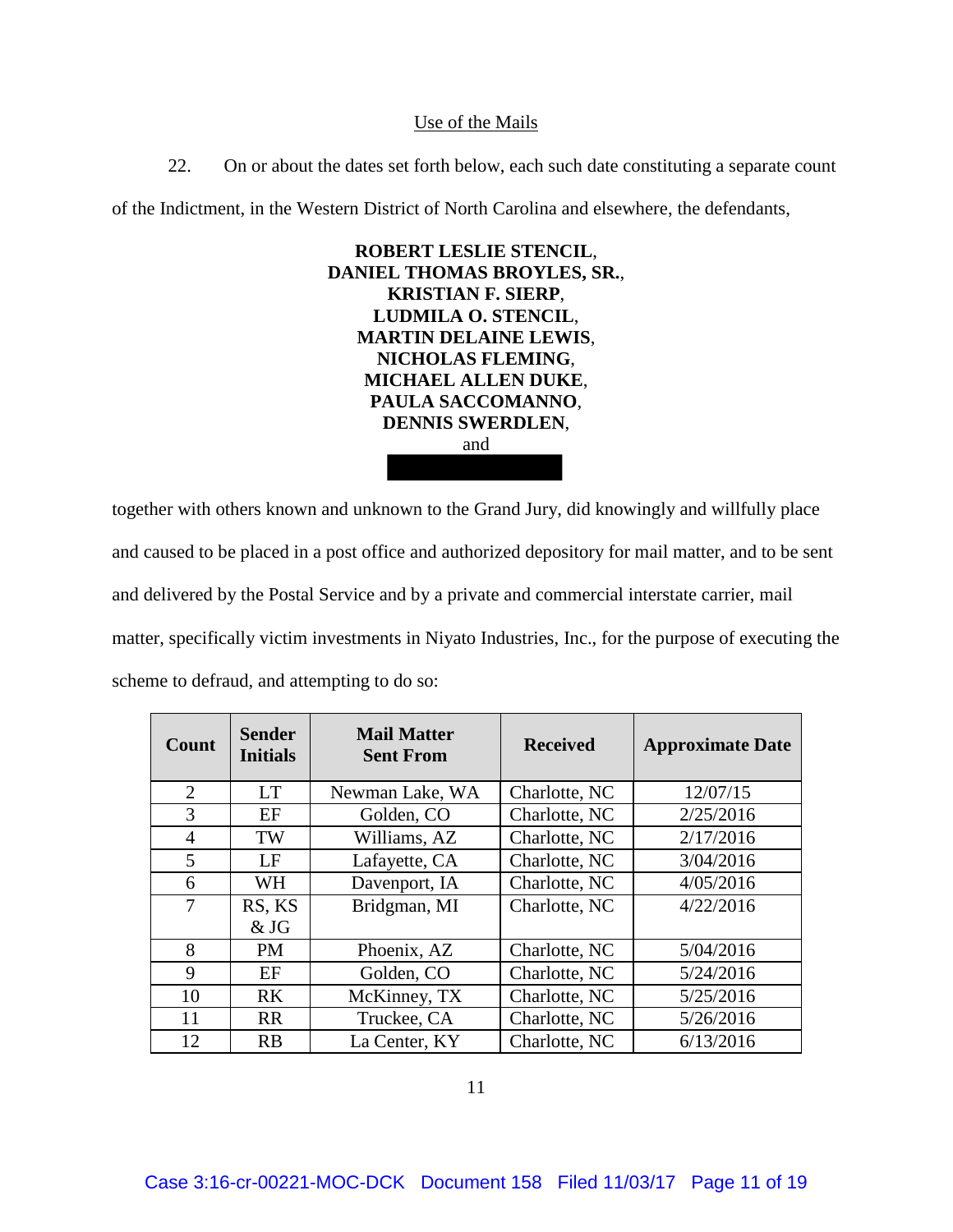#### Use of the Mails

22. On or about the dates set forth below, each such date constituting a separate count

of the Indictment, in the Western District of North Carolina and elsewhere, the defendants,



together with others known and unknown to the Grand Jury, did knowingly and willfully place and caused to be placed in a post office and authorized depository for mail matter, and to be sent and delivered by the Postal Service and by a private and commercial interstate carrier, mail matter, specifically victim investments in Niyato Industries, Inc., for the purpose of executing the scheme to defraud, and attempting to do so:

| Count          | <b>Sender</b><br><b>Initials</b> | <b>Mail Matter</b><br><b>Sent From</b> | <b>Received</b> | <b>Approximate Date</b> |
|----------------|----------------------------------|----------------------------------------|-----------------|-------------------------|
| $\overline{2}$ | <b>LT</b>                        | Newman Lake, WA                        | Charlotte, NC   | 12/07/15                |
| 3              | EF                               | Golden, CO                             | Charlotte, NC   | 2/25/2016               |
| 4              | TW                               | Williams, AZ                           | Charlotte, NC   | 2/17/2016               |
| 5              | LF                               | Lafayette, CA                          | Charlotte, NC   | 3/04/2016               |
| 6              | <b>WH</b>                        | Davenport, IA                          | Charlotte, NC   | 4/05/2016               |
| 7              | RS, KS                           | Bridgman, MI                           | Charlotte, NC   | 4/22/2016               |
|                | & JG                             |                                        |                 |                         |
| 8              | <b>PM</b>                        | Phoenix, AZ                            | Charlotte, NC   | 5/04/2016               |
| 9              | EF                               | Golden, CO                             | Charlotte, NC   | 5/24/2016               |
| 10             | RK.                              | McKinney, TX                           | Charlotte, NC   | 5/25/2016               |
| 11             | <b>RR</b>                        | Truckee, CA                            | Charlotte, NC   | 5/26/2016               |
| 12             | <b>RB</b>                        | La Center, KY                          | Charlotte, NC   | 6/13/2016               |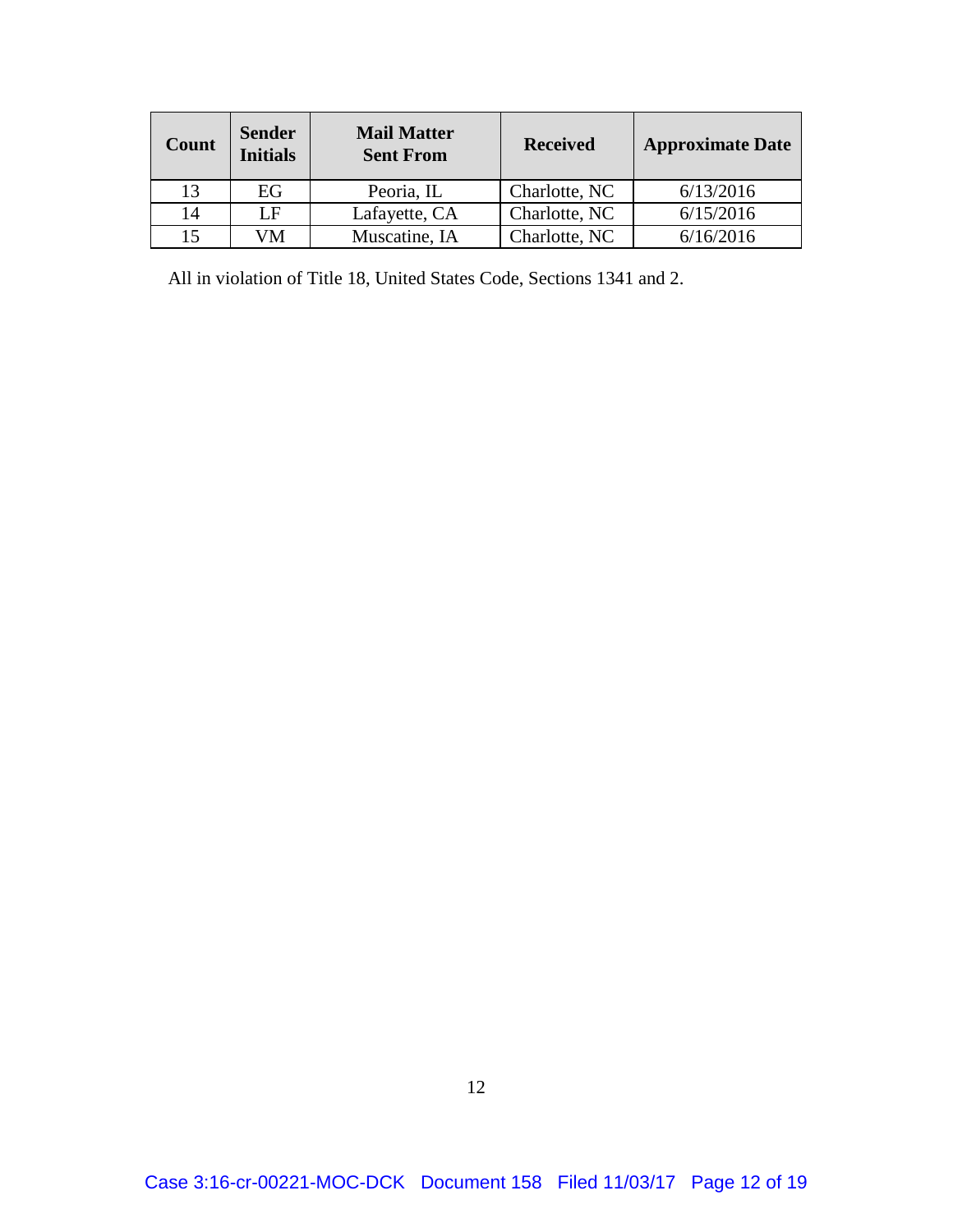| Count | <b>Sender</b><br><b>Initials</b> | <b>Mail Matter</b><br><b>Sent From</b> | <b>Received</b> | <b>Approximate Date</b> |
|-------|----------------------------------|----------------------------------------|-----------------|-------------------------|
| 13    | EG                               | Peoria, IL                             | Charlotte, NC   | 6/13/2016               |
| 14    | I F                              | Lafayette, CA                          | Charlotte, NC   | 6/15/2016               |
| 15    | ИM                               | Muscatine, IA                          | Charlotte, NC   | 6/16/2016               |

All in violation of Title 18, United States Code, Sections 1341 and 2.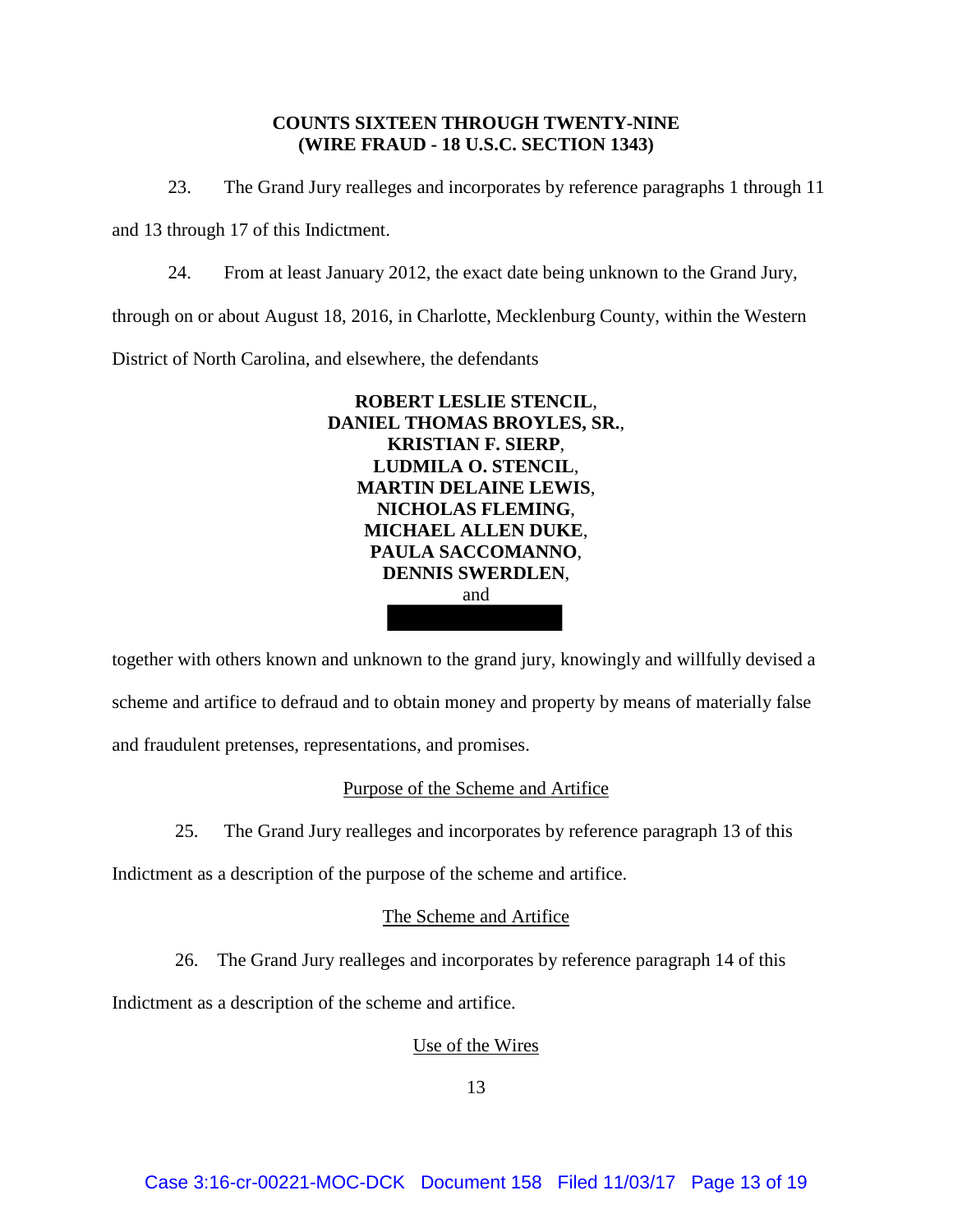## **COUNTS SIXTEEN THROUGH TWENTY-NINE (WIRE FRAUD - 18 U.S.C. SECTION 1343)**

23. The Grand Jury realleges and incorporates by reference paragraphs 1 through 11

and 13 through 17 of this Indictment.

24. From at least January 2012, the exact date being unknown to the Grand Jury,

through on or about August 18, 2016, in Charlotte, Mecklenburg County, within the Western

District of North Carolina, and elsewhere, the defendants



together with others known and unknown to the grand jury, knowingly and willfully devised a scheme and artifice to defraud and to obtain money and property by means of materially false and fraudulent pretenses, representations, and promises.

# Purpose of the Scheme and Artifice

25. The Grand Jury realleges and incorporates by reference paragraph 13 of this

Indictment as a description of the purpose of the scheme and artifice.

## The Scheme and Artifice

26. The Grand Jury realleges and incorporates by reference paragraph 14 of this

Indictment as a description of the scheme and artifice.

## Use of the Wires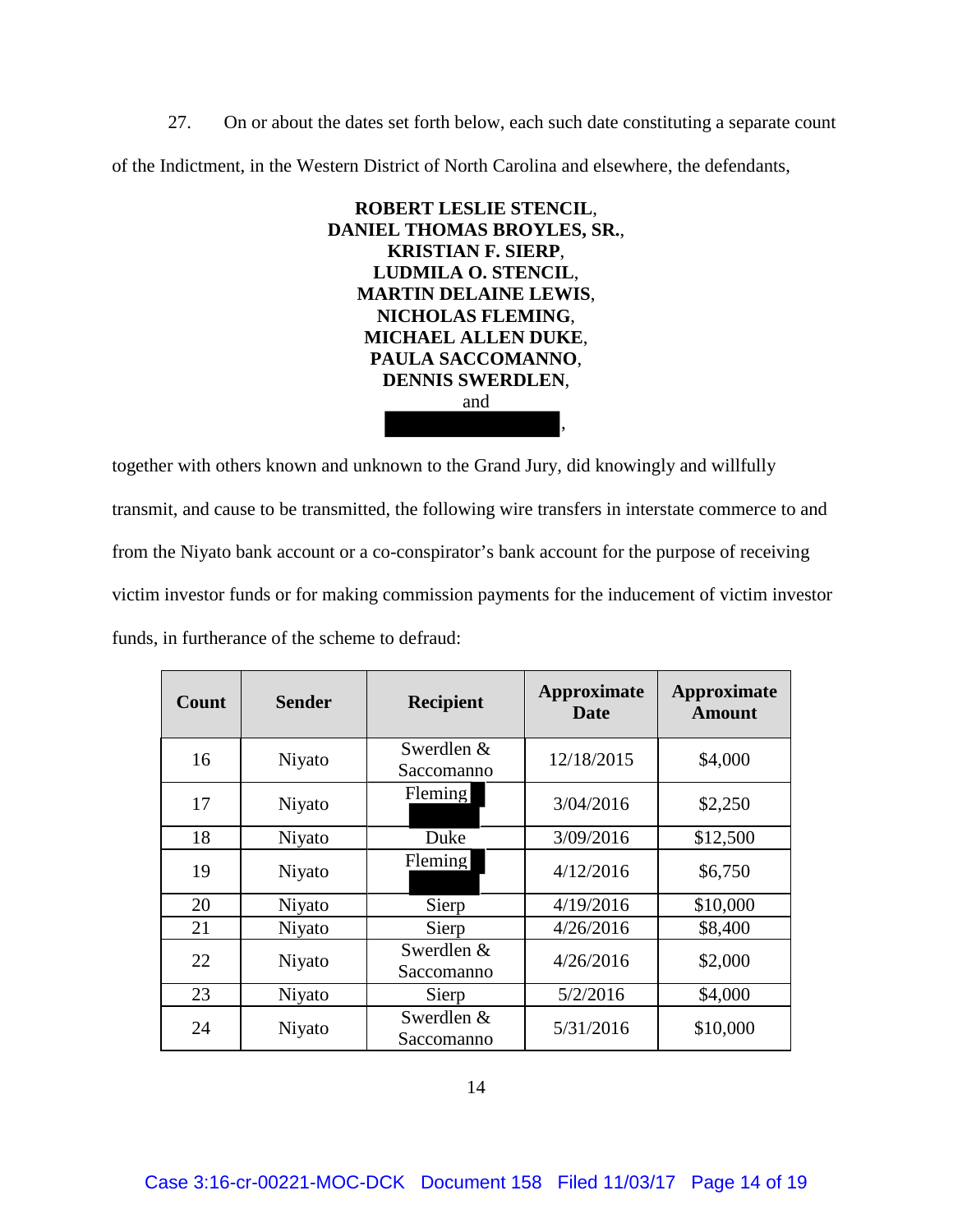27. On or about the dates set forth below, each such date constituting a separate count of the Indictment, in the Western District of North Carolina and elsewhere, the defendants,



together with others known and unknown to the Grand Jury, did knowingly and willfully transmit, and cause to be transmitted, the following wire transfers in interstate commerce to and from the Niyato bank account or a co-conspirator's bank account for the purpose of receiving victim investor funds or for making commission payments for the inducement of victim investor funds, in furtherance of the scheme to defraud:

| Count | <b>Sender</b> | <b>Recipient</b>         | Approximate<br>Date | <b>Approximate</b><br><b>Amount</b> |
|-------|---------------|--------------------------|---------------------|-------------------------------------|
| 16    | Niyato        | Swerdlen &<br>Saccomanno | 12/18/2015          | \$4,000                             |
| 17    | Niyato        | Fleming                  | 3/04/2016           | \$2,250                             |
| 18    | Niyato        | Duke                     | 3/09/2016           | \$12,500                            |
| 19    | Niyato        | Fleming                  | 4/12/2016           | \$6,750                             |
| 20    | Niyato        | Sierp                    | 4/19/2016           | \$10,000                            |
| 21    | Niyato        | Sierp                    | 4/26/2016           | \$8,400                             |
| 22    | Niyato        | Swerdlen &<br>Saccomanno | 4/26/2016           | \$2,000                             |
| 23    | Niyato        | Sierp                    | 5/2/2016            | \$4,000                             |
| 24    | Niyato        | Swerdlen &<br>Saccomanno | 5/31/2016           | \$10,000                            |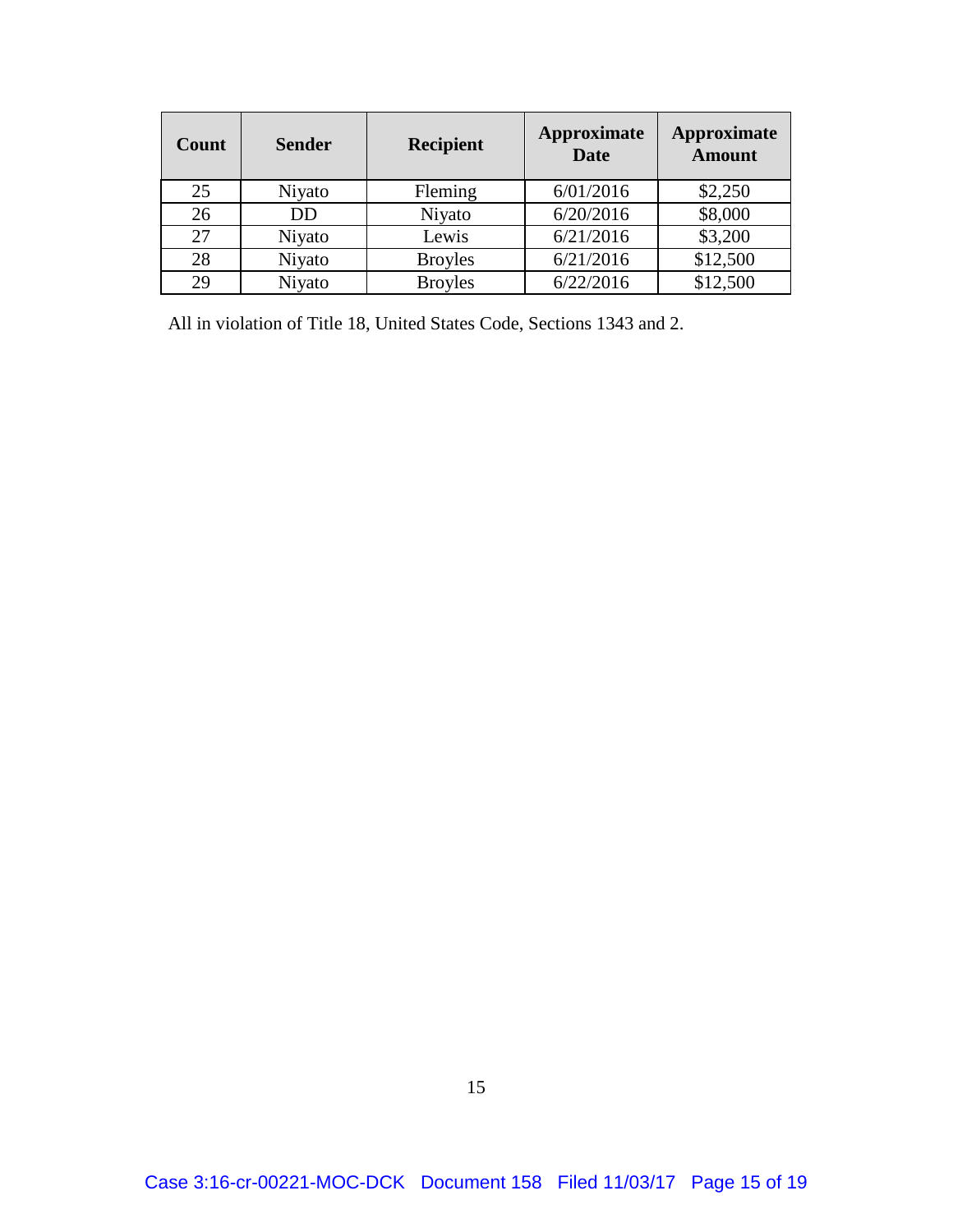| Count | <b>Sender</b> | <b>Recipient</b> | Approximate<br><b>Date</b> | Approximate<br><b>Amount</b> |
|-------|---------------|------------------|----------------------------|------------------------------|
| 25    | Niyato        | Fleming          | 6/01/2016                  | \$2,250                      |
| 26    | DD            | Niyato           | 6/20/2016                  | \$8,000                      |
| 27    | Niyato        | Lewis            | 6/21/2016                  | \$3,200                      |
| 28    | Niyato        | <b>Broyles</b>   | 6/21/2016                  | \$12,500                     |
| 29    | Niyato        | <b>Broyles</b>   | 6/22/2016                  | \$12,500                     |

All in violation of Title 18, United States Code, Sections 1343 and 2.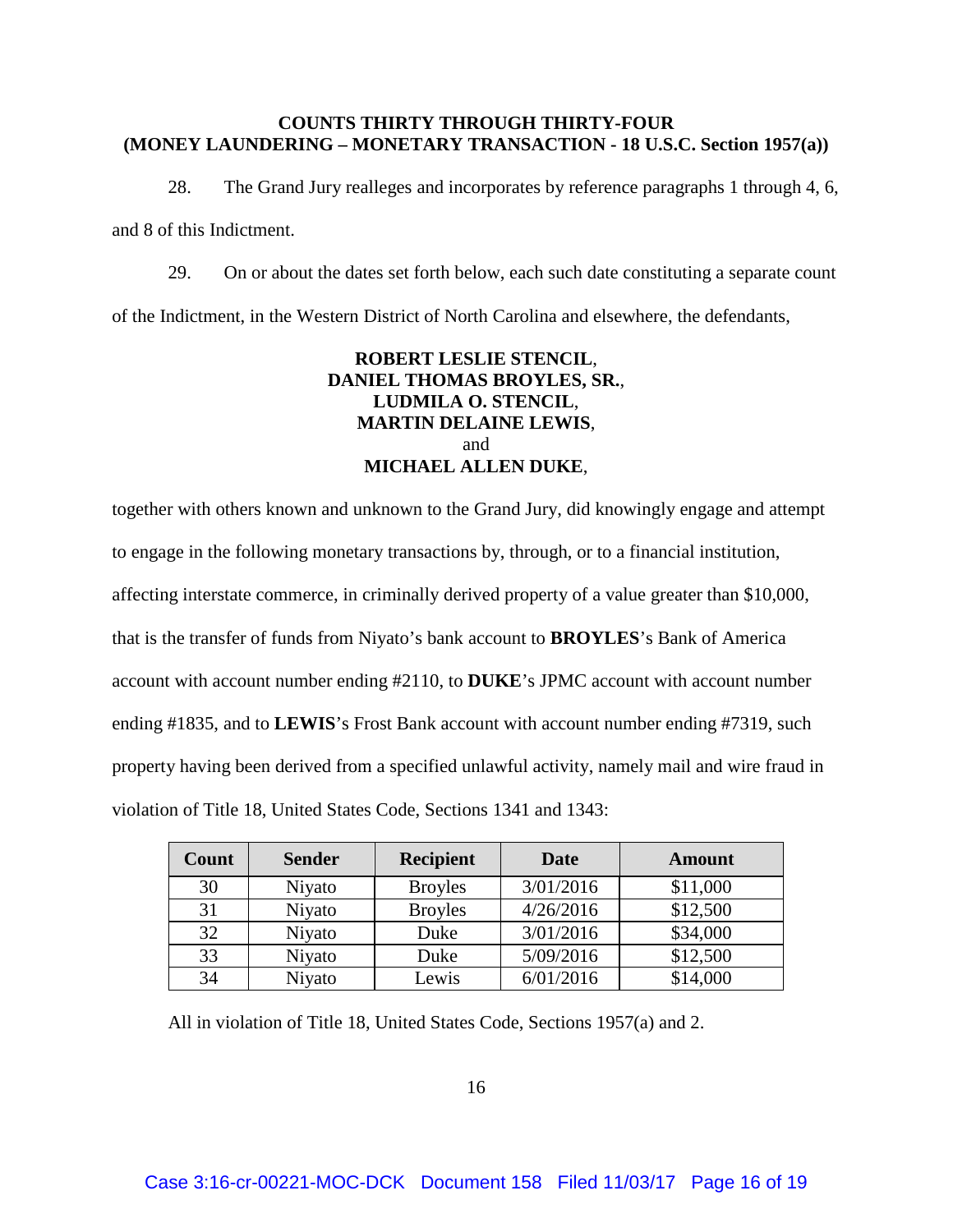#### **COUNTS THIRTY THROUGH THIRTY-FOUR (MONEY LAUNDERING – MONETARY TRANSACTION - 18 U.S.C. Section 1957(a))**

28. The Grand Jury realleges and incorporates by reference paragraphs 1 through 4, 6, and 8 of this Indictment.

29. On or about the dates set forth below, each such date constituting a separate count of the Indictment, in the Western District of North Carolina and elsewhere, the defendants,

# **ROBERT LESLIE STENCIL**, **DANIEL THOMAS BROYLES, SR.**, **LUDMILA O. STENCIL**, **MARTIN DELAINE LEWIS**, and **MICHAEL ALLEN DUKE**,

together with others known and unknown to the Grand Jury, did knowingly engage and attempt to engage in the following monetary transactions by, through, or to a financial institution, affecting interstate commerce, in criminally derived property of a value greater than \$10,000, that is the transfer of funds from Niyato's bank account to **BROYLES**'s Bank of America account with account number ending #2110, to **DUKE**'s JPMC account with account number ending #1835, and to **LEWIS**'s Frost Bank account with account number ending #7319, such property having been derived from a specified unlawful activity, namely mail and wire fraud in violation of Title 18, United States Code, Sections 1341 and 1343:

| Count | <b>Sender</b> | <b>Recipient</b> | Date      | <b>Amount</b> |
|-------|---------------|------------------|-----------|---------------|
| 30    | Niyato        | <b>Broyles</b>   | 3/01/2016 | \$11,000      |
| 31    | Niyato        | <b>Broyles</b>   | 4/26/2016 | \$12,500      |
| 32    | Niyato        | Duke             | 3/01/2016 | \$34,000      |
| 33    | Niyato        | Duke             | 5/09/2016 | \$12,500      |
| 34    | Niyato        | Lewis            | 6/01/2016 | \$14,000      |

All in violation of Title 18, United States Code, Sections 1957(a) and 2.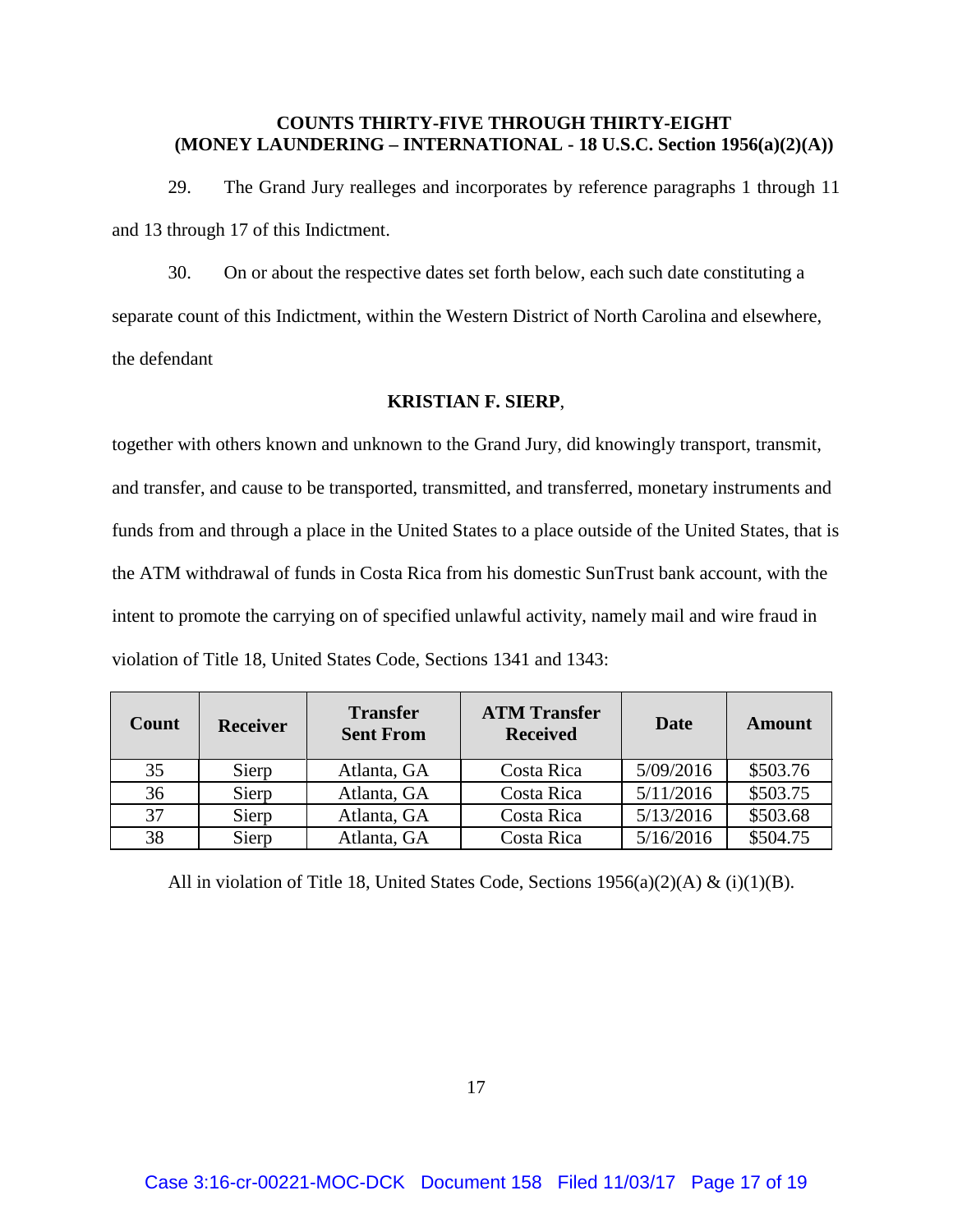## **COUNTS THIRTY-FIVE THROUGH THIRTY-EIGHT (MONEY LAUNDERING – INTERNATIONAL - 18 U.S.C. Section 1956(a)(2)(A))**

29. The Grand Jury realleges and incorporates by reference paragraphs 1 through 11 and 13 through 17 of this Indictment.

30. On or about the respective dates set forth below, each such date constituting a separate count of this Indictment, within the Western District of North Carolina and elsewhere, the defendant

#### **KRISTIAN F. SIERP**,

together with others known and unknown to the Grand Jury, did knowingly transport, transmit, and transfer, and cause to be transported, transmitted, and transferred, monetary instruments and funds from and through a place in the United States to a place outside of the United States, that is the ATM withdrawal of funds in Costa Rica from his domestic SunTrust bank account, with the intent to promote the carrying on of specified unlawful activity, namely mail and wire fraud in violation of Title 18, United States Code, Sections 1341 and 1343:

| <b>Count</b> | <b>Receiver</b> | <b>Transfer</b><br><b>Sent From</b> | <b>ATM Transfer</b><br><b>Received</b> | Date      | Amount   |
|--------------|-----------------|-------------------------------------|----------------------------------------|-----------|----------|
| 35           | Sierp           | Atlanta, GA                         | Costa Rica                             | 5/09/2016 | \$503.76 |
| 36           | Sierp           | Atlanta, GA                         | Costa Rica                             | 5/11/2016 | \$503.75 |
| 37           | Sierp           | Atlanta, GA                         | Costa Rica                             | 5/13/2016 | \$503.68 |
| 38           | Sierp           | Atlanta, GA                         | Costa Rica                             | 5/16/2016 | \$504.75 |

All in violation of Title 18, United States Code, Sections  $1956(a)(2)(A) & (i)(1)(B)$ .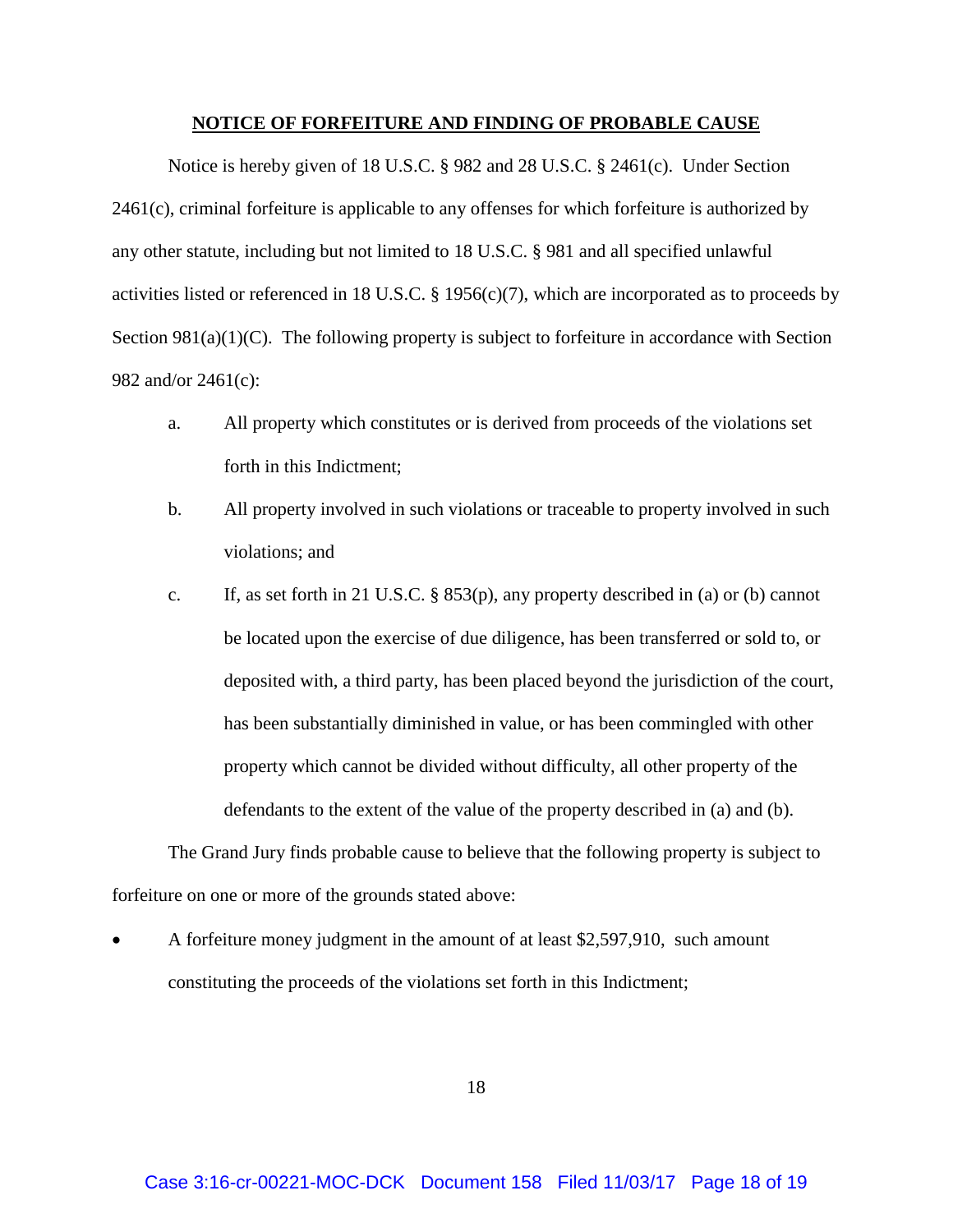#### **NOTICE OF FORFEITURE AND FINDING OF PROBABLE CAUSE**

Notice is hereby given of 18 U.S.C. § 982 and 28 U.S.C. § 2461(c). Under Section 2461(c), criminal forfeiture is applicable to any offenses for which forfeiture is authorized by any other statute, including but not limited to 18 U.S.C. § 981 and all specified unlawful activities listed or referenced in 18 U.S.C. § 1956(c)(7), which are incorporated as to proceeds by Section 981(a)(1)(C). The following property is subject to forfeiture in accordance with Section 982 and/or 2461(c):

- a. All property which constitutes or is derived from proceeds of the violations set forth in this Indictment;
- b. All property involved in such violations or traceable to property involved in such violations; and
- c. If, as set forth in 21 U.S.C. § 853(p), any property described in (a) or (b) cannot be located upon the exercise of due diligence, has been transferred or sold to, or deposited with, a third party, has been placed beyond the jurisdiction of the court, has been substantially diminished in value, or has been commingled with other property which cannot be divided without difficulty, all other property of the defendants to the extent of the value of the property described in (a) and (b).

The Grand Jury finds probable cause to believe that the following property is subject to forfeiture on one or more of the grounds stated above:

• A forfeiture money judgment in the amount of at least \$2,597,910, such amount constituting the proceeds of the violations set forth in this Indictment;